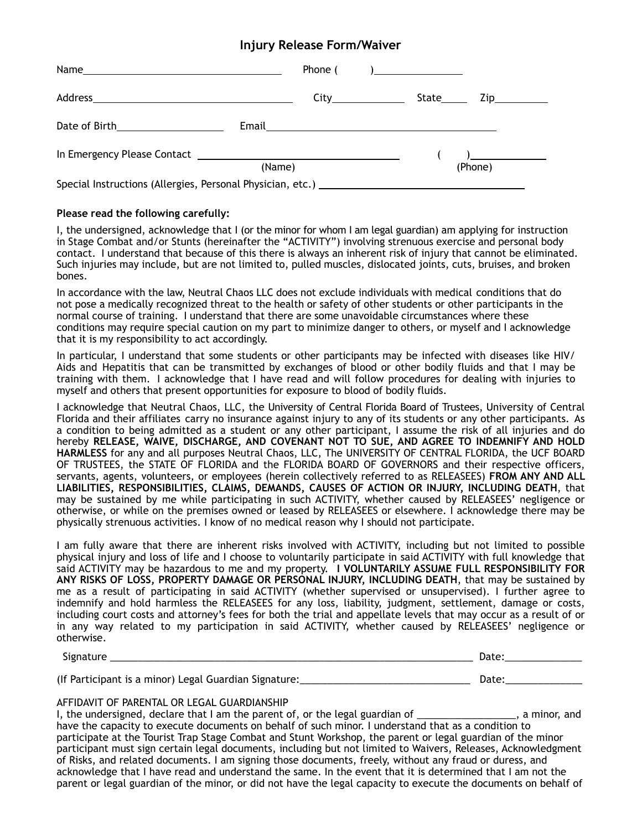## **Injury Release Form/Waiver**

|                                                            |        |  |         | $\mathbf{r}$ |  |
|------------------------------------------------------------|--------|--|---------|--------------|--|
|                                                            | (Name) |  | (Phone) |              |  |
| Special Instructions (Allergies, Personal Physician, etc.) |        |  |         |              |  |

## **Please read the following carefully:**

I, the undersigned, acknowledge that I (or the minor for whom I am legal guardian) am applying for instruction in Stage Combat and/or Stunts (hereinafter the "ACTIVITY") involving strenuous exercise and personal body contact. I understand that because of this there is always an inherent risk of injury that cannot be eliminated. Such injuries may include, but are not limited to, pulled muscles, dislocated joints, cuts, bruises, and broken bones.

In accordance with the law, Neutral Chaos LLC does not exclude individuals with medical conditions that do not pose a medically recognized threat to the health or safety of other students or other participants in the normal course of training. I understand that there are some unavoidable circumstances where these conditions may require special caution on my part to minimize danger to others, or myself and I acknowledge that it is my responsibility to act accordingly.

In particular, I understand that some students or other participants may be infected with diseases like HIV/ Aids and Hepatitis that can be transmitted by exchanges of blood or other bodily fluids and that I may be training with them. I acknowledge that I have read and will follow procedures for dealing with injuries to myself and others that present opportunities for exposure to blood of bodily fluids.

I acknowledge that Neutral Chaos, LLC, the University of Central Florida Board of Trustees, University of Central Florida and their affiliates carry no insurance against injury to any of its students or any other participants. As a condition to being admitted as a student or any other participant, I assume the risk of all injuries and do hereby **RELEASE, WAIVE, DISCHARGE, AND COVENANT NOT TO SUE, AND AGREE TO INDEMNIFY AND HOLD HARMLESS** for any and all purposes Neutral Chaos, LLC, The UNIVERSITY OF CENTRAL FLORIDA, the UCF BOARD OF TRUSTEES, the STATE OF FLORIDA and the FLORIDA BOARD OF GOVERNORS and their respective officers, servants, agents, volunteers, or employees (herein collectively referred to as RELEASEES) **FROM ANY AND ALL LIABILITIES, RESPONSIBILITIES, CLAIMS, DEMANDS, CAUSES OF ACTION OR INJURY, INCLUDING DEATH**, that may be sustained by me while participating in such ACTIVITY, whether caused by RELEASEES' negligence or otherwise, or while on the premises owned or leased by RELEASEES or elsewhere. I acknowledge there may be physically strenuous activities. I know of no medical reason why I should not participate.

I am fully aware that there are inherent risks involved with ACTIVITY, including but not limited to possible physical injury and loss of life and I choose to voluntarily participate in said ACTIVITY with full knowledge that said ACTIVITY may be hazardous to me and my property. **I VOLUNTARILY ASSUME FULL RESPONSIBILITY FOR ANY RISKS OF LOSS, PROPERTY DAMAGE OR PERSONAL INJURY, INCLUDING DEATH**, that may be sustained by me as a result of participating in said ACTIVITY (whether supervised or unsupervised). I further agree to indemnify and hold harmless the RELEASEES for any loss, liability, judgment, settlement, damage or costs, including court costs and attorney's fees for both the trial and appellate levels that may occur as a result of or in any way related to my participation in said ACTIVITY, whether caused by RELEASEES' negligence or otherwise.

Signature \_\_\_\_\_\_\_\_\_\_\_\_\_\_\_\_\_\_\_\_\_\_\_\_\_\_\_\_\_\_\_\_\_\_\_\_\_\_\_\_\_\_\_\_\_\_\_\_\_\_\_\_\_\_\_\_\_\_\_\_\_\_\_\_\_\_ Date:\_\_\_\_\_\_\_\_\_\_\_\_\_\_

(If Participant is a minor) Legal Guardian Signature:\_\_\_\_\_\_\_\_\_\_\_\_\_\_\_\_\_\_\_\_\_\_\_\_\_\_\_\_\_\_\_ Date:\_\_\_\_\_\_\_\_\_\_\_\_\_\_

## AFFIDAVIT OF PARENTAL OR LEGAL GUARDIANSHIP

I, the undersigned, declare that I am the parent of, or the legal guardian of \_\_\_\_\_\_\_\_\_\_\_\_\_\_\_\_\_\_, a minor, and have the capacity to execute documents on behalf of such minor. I understand that as a condition to participate at the Tourist Trap Stage Combat and Stunt Workshop, the parent or legal guardian of the minor participant must sign certain legal documents, including but not limited to Waivers, Releases, Acknowledgment of Risks, and related documents. I am signing those documents, freely, without any fraud or duress, and acknowledge that I have read and understand the same. In the event that it is determined that I am not the parent or legal guardian of the minor, or did not have the legal capacity to execute the documents on behalf of